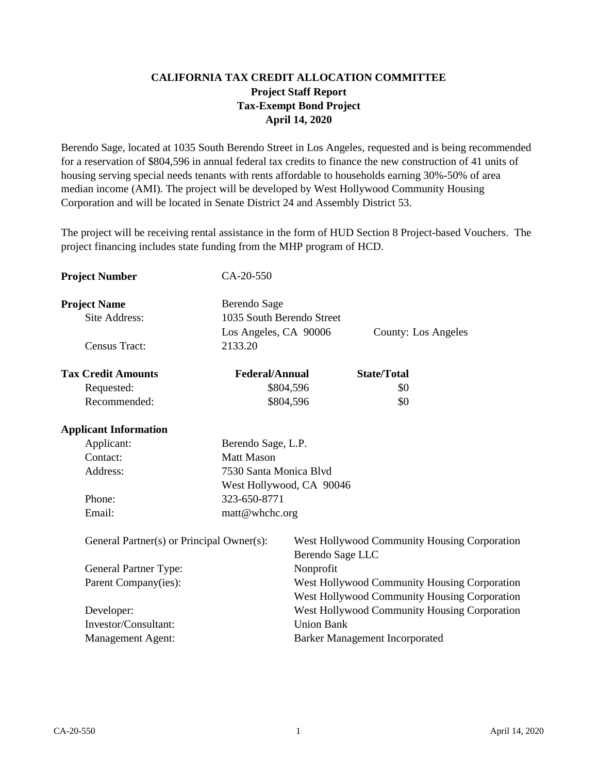# **CALIFORNIA TAX CREDIT ALLOCATION COMMITTEE Project Staff Report Tax-Exempt Bond Project April 14, 2020**

Berendo Sage, located at 1035 South Berendo Street in Los Angeles, requested and is being recommended for a reservation of \$804,596 in annual federal tax credits to finance the new construction of 41 units of housing serving special needs tenants with rents affordable to households earning 30%-50% of area median income (AMI). The project will be developed by West Hollywood Community Housing Corporation and will be located in Senate District 24 and Assembly District 53.

The project will be receiving rental assistance in the form of HUD Section 8 Project-based Vouchers. The project financing includes state funding from the MHP program of HCD.

| <b>Project Number</b>                     | CA-20-550                                                          |                                                                                              |                                       |                                              |
|-------------------------------------------|--------------------------------------------------------------------|----------------------------------------------------------------------------------------------|---------------------------------------|----------------------------------------------|
| <b>Project Name</b><br>Site Address:      | Berendo Sage<br>1035 South Berendo Street<br>Los Angeles, CA 90006 |                                                                                              |                                       | <b>County: Los Angeles</b>                   |
| <b>Census Tract:</b>                      | 2133.20                                                            |                                                                                              |                                       |                                              |
| <b>Tax Credit Amounts</b>                 | <b>Federal/Annual</b>                                              |                                                                                              | <b>State/Total</b>                    |                                              |
| Requested:                                |                                                                    | \$804,596                                                                                    | \$0                                   |                                              |
| Recommended:                              |                                                                    | \$804,596                                                                                    | \$0                                   |                                              |
| <b>Applicant Information</b>              |                                                                    |                                                                                              |                                       |                                              |
| Applicant:                                | Berendo Sage, L.P.                                                 |                                                                                              |                                       |                                              |
| Contact:                                  | <b>Matt Mason</b>                                                  |                                                                                              |                                       |                                              |
| Address:                                  | 7530 Santa Monica Blvd                                             |                                                                                              |                                       |                                              |
|                                           | West Hollywood, CA 90046                                           |                                                                                              |                                       |                                              |
| Phone:                                    | 323-650-8771                                                       |                                                                                              |                                       |                                              |
| Email:                                    | matt@whchc.org                                                     |                                                                                              |                                       |                                              |
| General Partner(s) or Principal Owner(s): |                                                                    | West Hollywood Community Housing Corporation<br>Berendo Sage LLC                             |                                       |                                              |
| General Partner Type:                     |                                                                    | Nonprofit                                                                                    |                                       |                                              |
| Parent Company(ies):                      |                                                                    | West Hollywood Community Housing Corporation<br>West Hollywood Community Housing Corporation |                                       |                                              |
| Developer:                                |                                                                    |                                                                                              |                                       | West Hollywood Community Housing Corporation |
| Investor/Consultant:                      |                                                                    | <b>Union Bank</b>                                                                            |                                       |                                              |
| <b>Management Agent:</b>                  |                                                                    |                                                                                              | <b>Barker Management Incorporated</b> |                                              |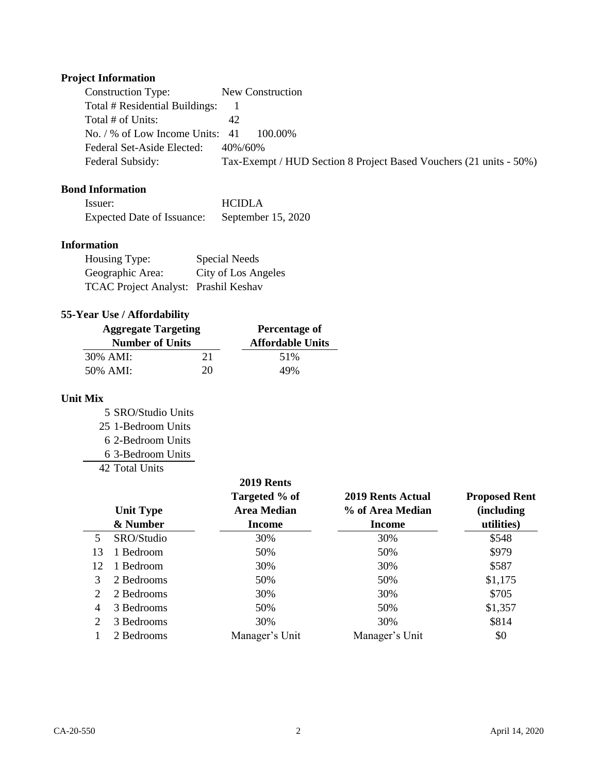# **Project Information**

| <b>Construction Type:</b>       | New Construction                                                   |
|---------------------------------|--------------------------------------------------------------------|
| Total # Residential Buildings:  |                                                                    |
| Total # of Units:               | 42                                                                 |
| No. / % of Low Income Units: 41 | 100.00%                                                            |
| Federal Set-Aside Elected:      | 40%/60%                                                            |
| Federal Subsidy:                | Tax-Exempt / HUD Section 8 Project Based Vouchers (21 units - 50%) |

# **Bond Information**

| Issuer:                    | <b>HCIDLA</b>      |
|----------------------------|--------------------|
| Expected Date of Issuance: | September 15, 2020 |

### **Information**

| Housing Type:                        | Special Needs       |
|--------------------------------------|---------------------|
| Geographic Area:                     | City of Los Angeles |
| TCAC Project Analyst: Prashil Keshav |                     |

# **55-Year Use / Affordability**

| <b>Aggregate Targeting</b> |    | Percentage of           |  |
|----------------------------|----|-------------------------|--|
| <b>Number of Units</b>     |    | <b>Affordable Units</b> |  |
| 30% AMI:                   | 21 | 51%                     |  |
| 50% AMI:                   | 20 | 49%                     |  |

# **Unit Mix**

 SRO/Studio Units 1-Bedroom Units 2-Bedroom Units 3-Bedroom Units

42 Total Units

|                | <b>Unit Type</b><br>& Number | 2019 Rents<br>Targeted % of<br><b>Area Median</b><br><b>Income</b> | 2019 Rents Actual<br>% of Area Median<br><b>Income</b> | <b>Proposed Rent</b><br>(including)<br>utilities) |
|----------------|------------------------------|--------------------------------------------------------------------|--------------------------------------------------------|---------------------------------------------------|
| 5              | SRO/Studio                   | 30%                                                                | 30%                                                    | \$548                                             |
| 13             | 1 Bedroom                    | 50%                                                                | 50%                                                    | \$979                                             |
| 12             | 1 Bedroom                    | 30%                                                                | 30%                                                    | \$587                                             |
| 3              | 2 Bedrooms                   | 50%                                                                | 50%                                                    | \$1,175                                           |
| 2              | 2 Bedrooms                   | 30%                                                                | 30%                                                    | \$705                                             |
| $\overline{4}$ | 3 Bedrooms                   | 50%                                                                | 50%                                                    | \$1,357                                           |
| 2              | 3 Bedrooms                   | 30%                                                                | 30%                                                    | \$814                                             |
|                | 2 Bedrooms                   | Manager's Unit                                                     | Manager's Unit                                         | \$0                                               |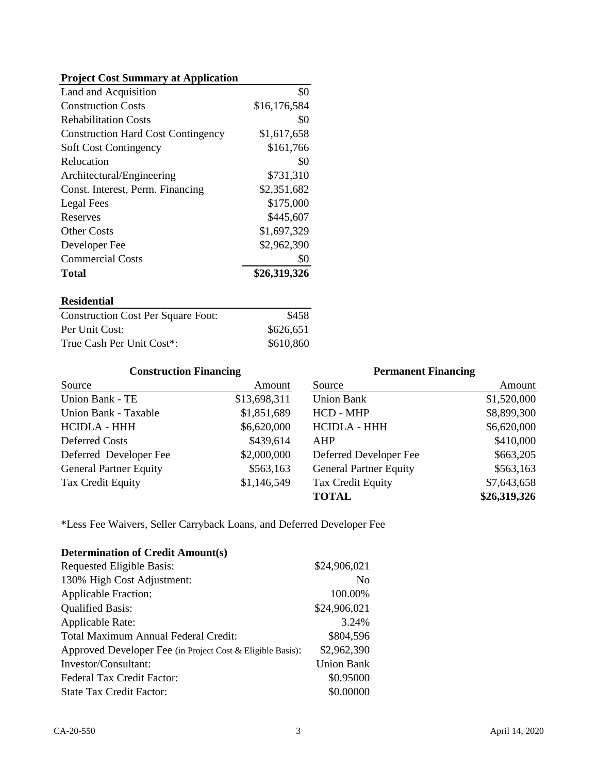### **Project Cost Summary at Application**

| Land and Acquisition                      | \$0          |
|-------------------------------------------|--------------|
| <b>Construction Costs</b>                 | \$16,176,584 |
| <b>Rehabilitation Costs</b>               | \$0          |
| <b>Construction Hard Cost Contingency</b> | \$1,617,658  |
| <b>Soft Cost Contingency</b>              | \$161,766    |
| Relocation                                | \$0          |
| Architectural/Engineering                 | \$731,310    |
| Const. Interest, Perm. Financing          | \$2,351,682  |
| Legal Fees                                | \$175,000    |
| Reserves                                  | \$445,607    |
| <b>Other Costs</b>                        | \$1,697,329  |
| Developer Fee                             | \$2,962,390  |
| <b>Commercial Costs</b>                   | \$0          |
| <b>Total</b>                              | \$26,319,326 |

### **Residential**

| <b>Construction Cost Per Square Foot:</b> | \$458     |
|-------------------------------------------|-----------|
| Per Unit Cost:                            | \$626,651 |
| True Cash Per Unit Cost*:                 | \$610,860 |

#### Source Amount Source Union Bank - TE \$13,698,311 Union Bank Union Bank - Taxable \$1,851,689 HCD - MHP HCIDLA - HHH HCIDLA - HHH Deferred Costs \$439,614 AHP Deferred Developer Fee  $$2,000,000$  Deferred Developer Fee General Partner Equity  $$563,163$  General Partner Equity Tax Credit Equity  $$1,146,549$  Tax Credit Equity **TOTAL** \$663,205 \$7,643,658 \$1,520,000 **\$26,319,326 Construction Financing** \$410,000 \$6,620,000 \$563,163 \$439,614 \$8,899,300 \$563,163 **Permanent Financing** Amount \$13,698,311 \$1,851,689 \$1,146,549 \$6,620,000 \$2,000,000

\*Less Fee Waivers, Seller Carryback Loans, and Deferred Developer Fee

| <b>Determination of Credit Amount(s)</b>                   |                   |
|------------------------------------------------------------|-------------------|
| Requested Eligible Basis:                                  | \$24,906,021      |
| 130% High Cost Adjustment:                                 | N <sub>0</sub>    |
| <b>Applicable Fraction:</b>                                | 100.00%           |
| <b>Qualified Basis:</b>                                    | \$24,906,021      |
| <b>Applicable Rate:</b>                                    | 3.24%             |
| Total Maximum Annual Federal Credit:                       | \$804,596         |
| Approved Developer Fee (in Project Cost & Eligible Basis): | \$2,962,390       |
| Investor/Consultant:                                       | <b>Union Bank</b> |
| Federal Tax Credit Factor:                                 | \$0.95000         |
| <b>State Tax Credit Factor:</b>                            | \$0.00000         |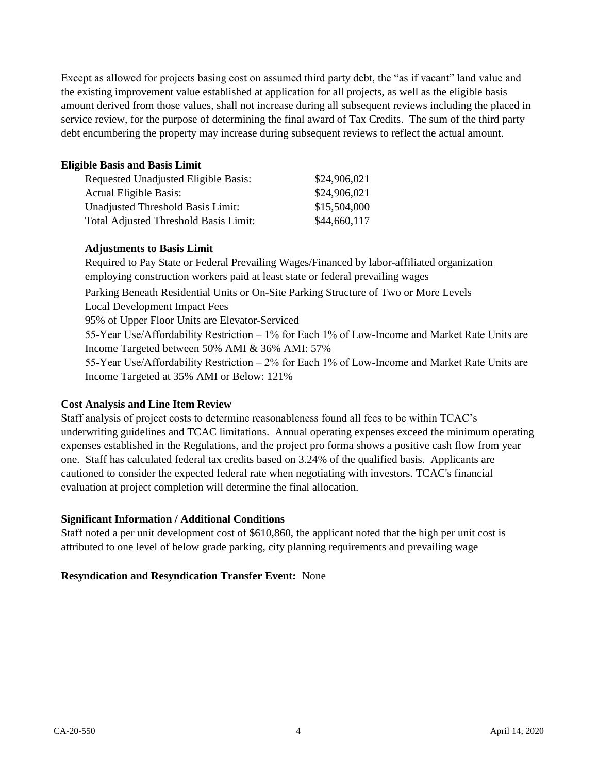Except as allowed for projects basing cost on assumed third party debt, the "as if vacant" land value and the existing improvement value established at application for all projects, as well as the eligible basis amount derived from those values, shall not increase during all subsequent reviews including the placed in service review, for the purpose of determining the final award of Tax Credits. The sum of the third party debt encumbering the property may increase during subsequent reviews to reflect the actual amount.

### **Eligible Basis and Basis Limit**

| Requested Unadjusted Eligible Basis:  | \$24,906,021 |
|---------------------------------------|--------------|
| <b>Actual Eligible Basis:</b>         | \$24,906,021 |
| Unadjusted Threshold Basis Limit:     | \$15,504,000 |
| Total Adjusted Threshold Basis Limit: | \$44,660,117 |

### **Adjustments to Basis Limit**

Parking Beneath Residential Units or On-Site Parking Structure of Two or More Levels Local Development Impact Fees 95% of Upper Floor Units are Elevator-Serviced 55-Year Use/Affordability Restriction – 1% for Each 1% of Low-Income and Market Rate Units are Income Targeted between 50% AMI & 36% AMI: 57% 55-Year Use/Affordability Restriction – 2% for Each 1% of Low-Income and Market Rate Units are Income Targeted at 35% AMI or Below: 121% Required to Pay State or Federal Prevailing Wages/Financed by labor-affiliated organization employing construction workers paid at least state or federal prevailing wages

## **Cost Analysis and Line Item Review**

Staff analysis of project costs to determine reasonableness found all fees to be within TCAC's underwriting guidelines and TCAC limitations. Annual operating expenses exceed the minimum operating expenses established in the Regulations, and the project pro forma shows a positive cash flow from year one. Staff has calculated federal tax credits based on 3.24% of the qualified basis. Applicants are cautioned to consider the expected federal rate when negotiating with investors. TCAC's financial evaluation at project completion will determine the final allocation.

## **Significant Information / Additional Conditions**

Staff noted a per unit development cost of \$610,860, the applicant noted that the high per unit cost is attributed to one level of below grade parking, city planning requirements and prevailing wage

## **Resyndication and Resyndication Transfer Event:** None